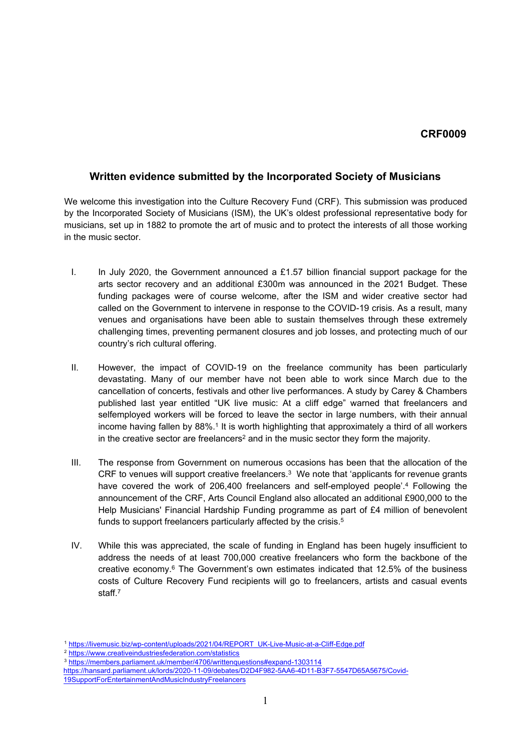## **CRF0009**

## **Written evidence submitted by the Incorporated Society of Musicians**

We welcome this investigation into the Culture Recovery Fund (CRF). This submission was produced by the Incorporated Society of Musicians (ISM), the UK's oldest professional representative body for musicians, set up in 1882 to promote the art of music and to protect the interests of all those working in the music sector.

- I. In July 2020, the Government announced a £1.57 billion financial support package for the arts sector recovery and an additional £300m was announced in the 2021 Budget. These funding packages were of course welcome, after the ISM and wider creative sector had called on the Government to intervene in response to the COVID-19 crisis. As a result, many venues and organisations have been able to sustain themselves through these extremely challenging times, preventing permanent closures and job losses, and protecting much of our country's rich cultural offering.
- II. However, the impact of COVID-19 on the freelance community has been particularly devastating. Many of our member have not been able to work since March due to the cancellation of concerts, festivals and other live performances. A study by Carey & Chambers published last year entitled "UK live music: At a cliff edge" warned that freelancers and selfemployed workers will be forced to leave the sector in large numbers, with their annual income having fallen by 88%.<sup>1</sup> It is worth highlighting that approximately a third of all workers in the creative sector are freelancers<sup>2</sup> and in the music sector they form the majority.
- III. The response from Government on numerous occasions has been that the allocation of the CRF to venues will support creative freelancers.<sup>3</sup> We note that 'applicants for revenue grants have covered the work of 206,400 freelancers and self-employed people'.<sup>4</sup> Following the announcement of the CRF, Arts Council England also allocated an additional £900,000 to the Help Musicians' Financial Hardship Funding programme as part of £4 million of benevolent funds to support freelancers particularly affected by the crisis.<sup>5</sup>
- IV. While this was appreciated, the scale of funding in England has been hugely insufficient to address the needs of at least 700,000 creative freelancers who form the backbone of the creative economy.<sup>6</sup> The Government's own estimates indicated that 12.5% of the business costs of Culture Recovery Fund recipients will go to freelancers, artists and casual events staff.<sup>7</sup>

<sup>1</sup> [https://livemusic.biz/wp-content/uploads/2021/04/REPORT\\_UK-Live-Music-at-a-Cliff-Edge.pdf](https://livemusic.biz/wp-content/uploads/2021/04/REPORT_UK-Live-Music-at-a-Cliff-Edge.pdf)

<sup>2</sup> <https://www.creativeindustriesfederation.com/statistics>

<sup>3</sup> <https://members.parliament.uk/member/4706/writtenquestions#expand-1303114>

[https://hansard.parliament.uk/lords/2020-11-09/debates/D2D4F982-5AA6-4D11-B3F7-5547D65A5675/Covid-](https://hansard.parliament.uk/lords/2020-11-09/debates/D2D4F982-5AA6-4D11-B3F7-5547D65A5675/Covid-19SupportForEntertainmentAndMusicIndustryFreelancers)[19SupportForEntertainmentAndMusicIndustryFreelancers](https://hansard.parliament.uk/lords/2020-11-09/debates/D2D4F982-5AA6-4D11-B3F7-5547D65A5675/Covid-19SupportForEntertainmentAndMusicIndustryFreelancers)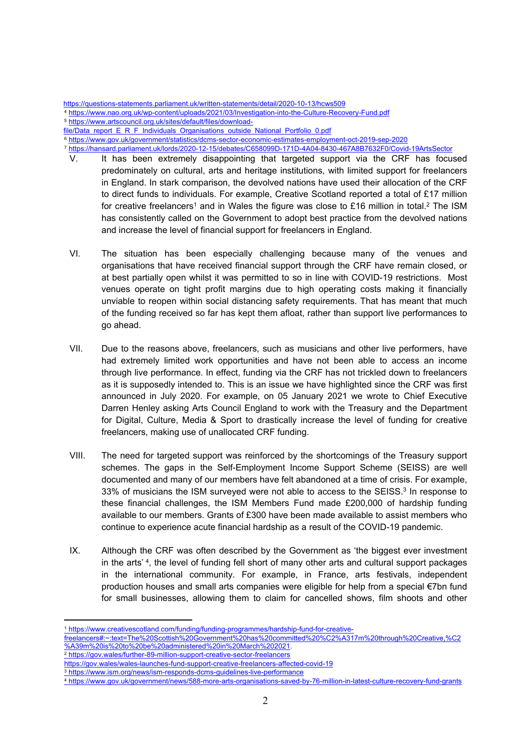<https://questions-statements.parliament.uk/written-statements/detail/2020-10-13/hcws509>

[file/Data\\_report\\_E\\_R\\_F\\_Individuals\\_Organisations\\_outside\\_National\\_Portfolio\\_0.pdf](https://www.artscouncil.org.uk/sites/default/files/download-file/Data_report_E_R_F_Individuals_Organisations_outside_National_Portfolio_0.pdf)

- V. It has been extremely disappointing that targeted support via the CRF has focused predominately on cultural, arts and heritage institutions, with limited support for freelancers in England. In stark comparison, the devolved nations have used their allocation of the CRF to direct funds to individuals. For example, Creative Scotland reported a total of £17 million for creative freelancers<sup>1</sup> and in Wales the figure was close to £16 million in total.<sup>2</sup> The ISM has consistently called on the Government to adopt best practice from the devolved nations and increase the level of financial support for freelancers in England.
- VI. The situation has been especially challenging because many of the venues and organisations that have received financial support through the CRF have remain closed, or at best partially open whilst it was permitted to so in line with COVID-19 restrictions. Most venues operate on tight profit margins due to high operating costs making it financially unviable to reopen within social distancing safety requirements. That has meant that much of the funding received so far has kept them afloat, rather than support live performances to go ahead.
- VII. Due to the reasons above, freelancers, such as musicians and other live performers, have had extremely limited work opportunities and have not been able to access an income through live performance. In effect, funding via the CRF has not trickled down to freelancers as it is supposedly intended to. This is an issue we have highlighted since the CRF was first announced in July 2020. For example, on 05 January 2021 we wrote to Chief Executive Darren Henley asking Arts Council England to work with the Treasury and the Department for Digital, Culture, Media & Sport to drastically increase the level of funding for creative freelancers, making use of unallocated CRF funding.
- VIII. The need for targeted support was reinforced by the shortcomings of the Treasury support schemes. The gaps in the Self-Employment Income Support Scheme (SEISS) are well documented and many of our members have felt abandoned at a time of crisis. For example,  $33\%$  of musicians the ISM surveyed were not able to access to the SEISS. $3$  In response to these financial challenges, the ISM Members Fund made £200,000 of hardship funding available to our members. Grants of £300 have been made available to assist members who continue to experience acute financial hardship as a result of the COVID-19 pandemic.
- IX. Although the CRF was often described by the Government as 'the biggest ever investment in the arts' <sup>4</sup> , the level of funding fell short of many other arts and cultural support packages in the international community. For example, in France, arts festivals, independent production houses and small arts companies were eligible for help from a special €7bn fund for small businesses, allowing them to claim for cancelled shows, film shoots and other

<sup>4</sup> <https://www.nao.org.uk/wp-content/uploads/2021/03/Investigation-into-the-Culture-Recovery-Fund.pdf>

<sup>5</sup> [https://www.artscouncil.org.uk/sites/default/files/download-](https://www.artscouncil.org.uk/sites/default/files/download-file/Data_report_E_R_F_Individuals_Organisations_outside_National_Portfolio_0.pdf)

<sup>6</sup> <https://www.gov.uk/government/statistics/dcms-sector-economic-estimates-employment-oct-2019-sep-2020>

<sup>7</sup> <https://hansard.parliament.uk/lords/2020-12-15/debates/C658099D-171D-4A04-8430-467A8B7632F0/Covid-19ArtsSector>

<sup>1</sup> [https://www.creativescotland.com/funding/funding-programmes/hardship-fund-for-creative-](https://www.creativescotland.com/funding/funding-programmes/hardship-fund-for-creative-freelancers#:~:text=The%20Scottish%20Government%20has%20committed%20%C2%A317m%20through%20Creative,%C2%A39m%20is%20to%20be%20administered%20in%20March%202021)

[freelancers#:~:text=The%20Scottish%20Government%20has%20committed%20%C2%A317m%20through%20Creative,%C2](https://www.creativescotland.com/funding/funding-programmes/hardship-fund-for-creative-freelancers#:~:text=The%20Scottish%20Government%20has%20committed%20%C2%A317m%20through%20Creative,%C2%A39m%20is%20to%20be%20administered%20in%20March%202021) [%A39m%20is%20to%20be%20administered%20in%20March%202021.](https://www.creativescotland.com/funding/funding-programmes/hardship-fund-for-creative-freelancers#:~:text=The%20Scottish%20Government%20has%20committed%20%C2%A317m%20through%20Creative,%C2%A39m%20is%20to%20be%20administered%20in%20March%202021) 

<sup>2</sup> <https://gov.wales/further-89-million-support-creative-sector-freelancers>

<https://gov.wales/wales-launches-fund-support-creative-freelancers-affected-covid-19>

<sup>3</sup> <https://www.ism.org/news/ism-responds-dcms-guidelines-live-performance>

<sup>4</sup> <https://www.gov.uk/government/news/588-more-arts-organisations-saved-by-76-million-in-latest-culture-recovery-fund-grants>